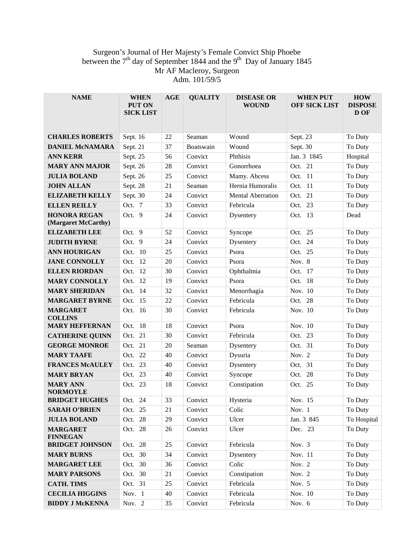## Surgeon's Journal of Her Majesty's Female Convict Ship Phoebe between the  $7<sup>th</sup>$  day of September 1844 and the  $9<sup>th</sup>$  Day of January 1845 Mr AF Macleroy, Surgeon Adm. 101/59/5

| <b>NAME</b>                                | <b>WHEN</b><br><b>PUT ON</b><br><b>SICK LIST</b> | <b>AGE</b> | <b>QUALITY</b> | <b>DISEASE OR</b><br><b>WOUND</b> | <b>WHEN PUT</b><br><b>OFF SICK LIST</b> | <b>HOW</b><br><b>DISPOSE</b><br>D OF |
|--------------------------------------------|--------------------------------------------------|------------|----------------|-----------------------------------|-----------------------------------------|--------------------------------------|
| <b>CHARLES ROBERTS</b>                     | Sept. 16                                         | 22         | Seaman         | Wound                             | Sept. 23                                | To Duty                              |
| <b>DANIEL MCNAMARA</b>                     | Sept. 21                                         | 37         | Boatswain      | Wound                             | Sept. 30                                | To Duty                              |
| <b>ANN KERR</b>                            | Sept. 25                                         | 56         | Convict        | Phthisis                          | Jan. 3 1845                             | Hospital                             |
| <b>MARY ANN MAJOR</b>                      | Sept. 26                                         | 28         | Convict        | Gonorrhoea                        | Oct. 21                                 | To Duty                              |
| <b>JULIA BOLAND</b>                        | Sept. 26                                         | 25         | Convict        | Mamy. Abcess                      | Oct. 11                                 | To Duty                              |
| <b>JOHN ALLAN</b>                          | Sept. 28                                         | 21         | Seaman         | Hernia Humoralis                  | Oct. 11                                 | To Duty                              |
| <b>ELIZABETH KELLY</b>                     | Sept. 30                                         | 24         | Convict        | <b>Mental Aberration</b>          | Oct. 21                                 | To Duty                              |
| <b>ELLEN REILLY</b>                        | Oct. 7                                           | 33         | Convict        | Febricula                         | Oct. 23                                 | To Duty                              |
| <b>HONORA REGAN</b><br>(Margaret McCarthy) | Oct. 9                                           | 24         | Convict        | Dysentery                         | Oct. 13                                 | Dead                                 |
| <b>ELIZABETH LEE</b>                       | Oct. 9                                           | 52         | Convict        | Syncope                           | Oct. 25                                 | To Duty                              |
| <b>JUDITH BYRNE</b>                        | 9<br>Oct.                                        | 24         | Convict        | Dysentery                         | 24<br>Oct.                              | To Duty                              |
| <b>ANN HOURIGAN</b>                        | - 10<br>Oct.                                     | 25         | Convict        | Psora                             | Oct. 25                                 | To Duty                              |
| <b>JANE CONNOLLY</b>                       | -12<br>Oct.                                      | 20         | Convict        | Psora                             | Nov. 8                                  | To Duty                              |
| <b>ELLEN RIORDAN</b>                       | Oct. 12                                          | 30         | Convict        | Ophthalmia                        | Oct. 17                                 | To Duty                              |
| <b>MARY CONNOLLY</b>                       | -12<br>Oct.                                      | 19         | Convict        | Psora                             | Oct. 18                                 | To Duty                              |
| <b>MARY SHERIDAN</b>                       | Oct. 14                                          | 32         | Convict        | Menorrhagia                       | Nov. 10                                 | To Duty                              |
| <b>MARGARET BYRNE</b>                      | Oct. 15                                          | 22         | Convict        | Febricula                         | Oct. 28                                 | To Duty                              |
| <b>MARGARET</b><br><b>COLLINS</b>          | Oct. 16                                          | 30         | Convict        | Febricula                         | Nov. 10                                 | To Duty                              |
| <b>MARY HEFFERNAN</b>                      | Oct. 18                                          | 18         | Convict        | Psora                             | Nov. 10                                 | To Duty                              |
| <b>CATHERINE QUINN</b>                     | 21<br>Oct.                                       | 30         | Convict        | Febricula                         | Oct. 23                                 | To Duty                              |
| <b>GEORGE MONROE</b>                       | 21<br>Oct.                                       | 20         | Seaman         | Dysentery                         | Oct. 31                                 | To Duty                              |
| <b>MARY TAAFE</b>                          | 22<br>Oct.                                       | 40         | Convict        | Dysuria                           | Nov. $2$                                | To Duty                              |
| <b>FRANCES MCAULEY</b>                     | 23<br>Oct.                                       | 40         | Convict        | Dysentery                         | Oct. 31                                 | To Duty                              |
| <b>MARY BRYAN</b>                          | 23<br>Oct.                                       | 40         | Convict        | Syncope                           | 28<br>Oct.                              | To Duty                              |
| <b>MARY ANN</b><br><b>NORMOYLE</b>         | Oct. 23                                          | 18         | Convict        | Constipation                      | Oct. 25                                 | To Duty                              |
| <b>BRIDGET HUGHES</b>                      | Oct. 24                                          | 33         | Convict        | Hysteria                          | Nov. 15                                 | To Duty                              |
| <b>SARAH O'BRIEN</b>                       | Oct. 25                                          | 21         | Convict        | Colic                             | Nov. 1                                  | To Duty                              |
| <b>JULIA BOLAND</b>                        | Oct. 28                                          | 29         | Convict        | Ulcer                             | Jan. 3 845                              | To Hospital                          |
| <b>MARGARET</b><br><b>FINNEGAN</b>         | Oct. 28                                          | 26         | Convict        | Ulcer                             | Dec. 23                                 | To Duty                              |
| <b>BRIDGET JOHNSON</b>                     | Oct. 28                                          | 25         | Convict        | Febricula                         | Nov. 3                                  | To Duty                              |
| <b>MARY BURNS</b>                          | Oct. 30                                          | 34         | Convict        | Dysentery                         | Nov. 11                                 | To Duty                              |
| <b>MARGARET LEE</b>                        | Oct. 30                                          | 36         | Convict        | Colic                             | Nov. 2                                  | To Duty                              |
| <b>MARY PARSONS</b>                        | Oct. 30                                          | 21         | Convict        | Constipation                      | Nov. 2                                  | To Duty                              |
| <b>CATH. TIMS</b>                          | Oct. 31                                          | 25         | Convict        | Febricula                         | Nov. 5                                  | To Duty                              |
| <b>CECILIA HIGGINS</b>                     | Nov. 1                                           | 40         | Convict        | Febricula                         | Nov. 10                                 | To Duty                              |
| <b>BIDDY J MCKENNA</b>                     | Nov. 2                                           | 35         | Convict        | Febricula                         | Nov. 6                                  | To Duty                              |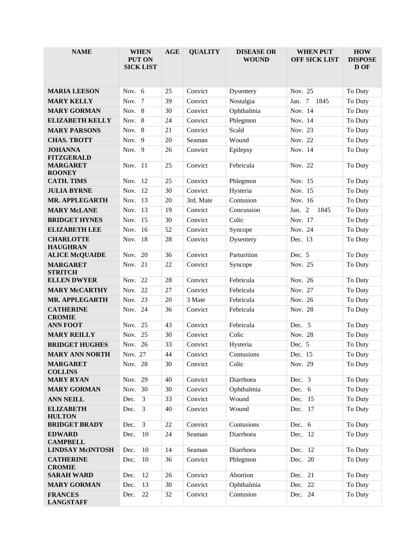| <b>NAME</b>                                            | <b>WHEN</b><br>PUT ON<br><b>SICK LIST</b> | <b>AGE</b> | <b>QUALITY</b>     | <b>DISEASE OR</b><br><b>WOUND</b> | <b>WHEN PUT</b><br><b>OFF SICK LIST</b> | <b>HOW</b><br><b>DISPOSE</b><br>D OF |
|--------------------------------------------------------|-------------------------------------------|------------|--------------------|-----------------------------------|-----------------------------------------|--------------------------------------|
| <b>MARIA LEESON</b>                                    | Nov. 6                                    | 25         | Convict            | Dysentery                         | Nov. 25                                 | To Duty                              |
| <b>MARY KELLY</b>                                      | Nov. 7                                    | 39         | Convict            | Nostalgia                         | Jan. 7 1845                             | To Duty                              |
| <b>MARY GORMAN</b>                                     | Nov. 8                                    | 30         | Convict            | Ophthalmia                        | Nov. 14                                 | To Duty                              |
| <b>ELIZABETH KELLY</b>                                 | Nov. 8                                    | 24         | Convict            | Phlegmon                          | Nov. 14                                 | To Duty                              |
| <b>MARY PARSONS</b>                                    | Nov. 8                                    | 21         | Convict            | Scald                             | Nov. 23                                 | To Duty                              |
| <b>CHAS. TROTT</b>                                     | Nov. $9$                                  | 20         | Seaman             | Wound                             | Nov. 22                                 | To Duty                              |
| <b>JOHANNA</b><br><b>FITZGERALD</b><br><b>MARGARET</b> | Nov. $9$<br>Nov. 11                       | 26<br>25   | Convict<br>Convict | Epilepsy<br>Febricula             | Nov. 14<br>Nov. 22                      | To Duty<br>To Duty                   |
| <b>ROONEY</b>                                          |                                           |            |                    |                                   |                                         |                                      |
| <b>CATH. TIMS</b>                                      | Nov. 12                                   | 25         | Convict            | Phlegmon                          | Nov. 15                                 | To Duty                              |
| <b>JULIA BYRNE</b>                                     | Nov. 12                                   | 30         | Convict            | Hysteria                          | Nov. 15                                 | To Duty                              |
| <b>MR. APPLEGARTH</b>                                  | Nov. 13                                   | 20         | 3rd. Mate          | Contusion                         | Nov. 16                                 | To Duty                              |
| <b>MARY McLANE</b>                                     | Nov. 13                                   | 19         | Convict            | Concussion                        | Jan. 2<br>1845                          | To Duty                              |
| <b>BRIDGET HYNES</b>                                   | Nov. 15                                   | 30         | Convict            | Colic                             | Nov. 17                                 | To Duty                              |
| <b>ELIZABETH LEE</b>                                   | Nov. 16                                   | 52         | Convict            | Syncope                           | Nov. 24                                 | To Duty                              |
| <b>CHARLOTTE</b><br><b>HAUGHRAN</b>                    | Nov. 18                                   | 28         | Convict            | Dysentery                         | Dec. 13                                 | To Duty                              |
| <b>ALICE McQUAIDE</b>                                  | Nov.<br>20                                | 36         | Convict            | Parturition                       | Dec. 5                                  | To Duty                              |
| <b>MARGARET</b><br><b>STRITCH</b>                      | Nov. 21                                   | 22         | Convict            | Syncope                           | Nov. 25                                 | To Duty                              |
| <b>ELLEN DWYER</b>                                     | Nov. 22                                   | 28         | Convict            | Febricula                         | Nov. 26                                 | To Duty                              |
| <b>MARY McCARTHY</b>                                   | 22<br>Nov.                                | 27         | Convict            | Febricula                         | Nov. 27                                 | To Duty                              |
| <b>MR. APPLEGARTH</b>                                  | Nov. 23                                   | 20         | 3 Mate             | Febricula                         | Nov. 26                                 | To Duty                              |
| <b>CATHERINE</b><br><b>CROMIE</b>                      | Nov. 24                                   | 36         | Convict            | Febricula                         | Nov. 28                                 | To Duty                              |
| <b>ANN FOOT</b>                                        | Nov. 25                                   | 43         | Convict            | Febricula                         | Dec. 5                                  | To Duty                              |
| <b>MARY REILLY</b>                                     | Nov. 25                                   | 30         | Convict            | Colic                             | Nov. 28                                 | To Duty                              |
| <b>BRIDGET HUGHES</b>                                  | Nov. 26                                   | 33         | Convict            | Hysteria                          | Dec. 5                                  | To Duty                              |
| <b>MARY ANN NORTH</b>                                  | Nov. 27                                   | 44         | Convict            | Contusions                        | Dec. 15                                 | To Duty                              |
| <b>MARGARET</b><br><b>COLLINS</b>                      | Nov. 28                                   | 30         | Convict            | Colic                             | Nov. 29                                 | To Duty                              |
| <b>MARY RYAN</b>                                       | Nov. 29                                   | 40         | Convict            | Diarrhoea                         | Dec. $3$                                | To Duty                              |
| <b>MARY GORMAN</b>                                     | Nov. 30                                   | 30         | Convict            | Ophthalmia                        | Dec. 6                                  | To Duty                              |
| <b>ANN NEILL</b>                                       | Dec.<br>$\mathfrak{Z}$                    | 33         | Convict            | Wound                             | Dec. 15                                 | To Duty                              |
| <b>ELIZABETH</b><br><b>HULTON</b>                      | 3<br>Dec.                                 | 40         | Convict            | Wound                             | Dec. 17                                 | To Duty                              |
| <b>BRIDGET BRADY</b>                                   | $\overline{3}$<br>Dec.                    | 22         | Convict            | Contusions                        | Dec. 6                                  | To Duty                              |
| <b>EDWARD</b><br><b>CAMPBELL</b>                       | 10<br>Dec.                                | 24         | Seaman             | Diarrhoea                         | Dec. 12                                 | To Duty                              |
| <b>LINDSAY McINTOSH</b>                                | Dec.<br>10                                | 14         | Seaman             | Diarrhoea                         | Dec. 12                                 | To Duty                              |
| <b>CATHERINE</b><br><b>CROMIE</b>                      | 10<br>Dec.                                | 36         | Convict            | Phlegmon                          | Dec. 20                                 | To Duty                              |
| <b>SARAH WARD</b>                                      | 12<br>Dec.                                | 26         | Convict            | Abortion                          | Dec. 21                                 | To Duty                              |
| <b>MARY GORMAN</b>                                     | 13<br>Dec.                                | 30         | Convict            | Ophthalmia                        | Dec. 22                                 | To Duty                              |
| <b>FRANCES</b><br><b>LANGSTAFF</b>                     | Dec.<br>22                                | 32         | Convict            | Contusion                         | Dec. 24                                 | To Duty                              |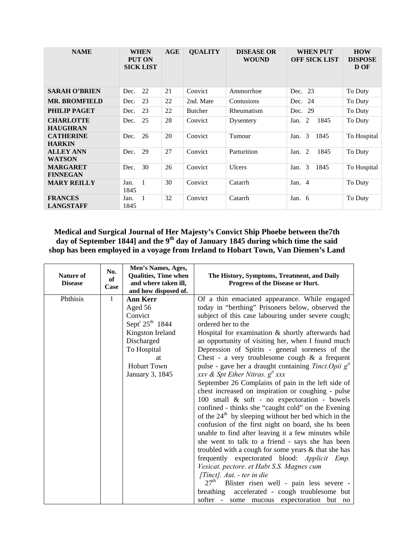| <b>NAME</b>                         | <b>WHEN</b><br><b>PUT ON</b><br><b>SICK LIST</b> | AGE | <b>QUALITY</b> | <b>DISEASE OR</b><br><b>WOUND</b> | <b>WHEN PUT</b><br><b>OFF SICK LIST</b> | <b>HOW</b><br><b>DISPOSE</b><br>D OF |
|-------------------------------------|--------------------------------------------------|-----|----------------|-----------------------------------|-----------------------------------------|--------------------------------------|
| <b>SARAH O'BRIEN</b>                | 22<br>Dec.                                       | 21  | Convict        | Ammorrhoe                         | Dec. 23                                 | To Duty                              |
| <b>MR. BROMFIELD</b>                | 23<br>Dec.                                       | 22  | 2nd. Mate      | Contusions                        | 24<br>Dec.                              | To Duty                              |
| <b>PHILIP PAGET</b>                 | 23<br>Dec.                                       | 22  | <b>Butcher</b> | Rheumatism                        | Dec. 29                                 | To Duty                              |
| <b>CHARLOTTE</b><br><b>HAUGHRAN</b> | 25<br>Dec.                                       | 28  | Convict        | Dysentery                         | 2<br>1845<br>Jan.                       | To Duty                              |
| <b>CATHERINE</b><br><b>HARKIN</b>   | 26<br>Dec.                                       | 20  | Convict        | Tumour                            | 3<br>1845<br>Jan.                       | To Hospital                          |
| <b>ALLEY ANN</b><br><b>WATSON</b>   | 29<br>Dec.                                       | 27  | Convict        | Parturition                       | 1845<br>2<br>Jan.                       | To Duty                              |
| <b>MARGARET</b><br><b>FINNEGAN</b>  | 30<br>Dec.                                       | 26  | Convict        | Ulcers                            | 3<br>1845<br>Jan.                       | To Hospital                          |
| <b>MARY REILLY</b>                  | $\mathbf{1}$<br>Jan.<br>1845                     | 30  | Convict        | Catarrh                           | Jan. 4                                  | To Duty                              |
| <b>FRANCES</b><br><b>LANGSTAFF</b>  | -1<br>Jan.<br>1845                               | 32  | Convict        | Catarrh                           | Jan. $6$                                | To Duty                              |

**Medical and Surgical Journal of Her Majesty's Convict Ship Phoebe between the7th**  day of September 1844] and the 9<sup>th</sup> day of January 1845 during which time the said **shop has been employed in a voyage from Ireland to Hobart Town, Van Diemen's Land** 

| Nature of<br><b>Disease</b> | No.<br>of<br>Case | Men's Names, Ages,<br><b>Qualities, Time when</b><br>and where taken ill,<br>and how disposed of.                                                                         | The History, Symptoms, Treatment, and Daily<br>Progress of the Disease or Hurt.                                                                                                                                                                                                                                                                                                                                                                                                                                                                                                                                                                                                                                                                                                                                                                                                                                                                                                                                                                                                                                                                                                                                                                                                                            |
|-----------------------------|-------------------|---------------------------------------------------------------------------------------------------------------------------------------------------------------------------|------------------------------------------------------------------------------------------------------------------------------------------------------------------------------------------------------------------------------------------------------------------------------------------------------------------------------------------------------------------------------------------------------------------------------------------------------------------------------------------------------------------------------------------------------------------------------------------------------------------------------------------------------------------------------------------------------------------------------------------------------------------------------------------------------------------------------------------------------------------------------------------------------------------------------------------------------------------------------------------------------------------------------------------------------------------------------------------------------------------------------------------------------------------------------------------------------------------------------------------------------------------------------------------------------------|
| Phthisis                    | 1                 | <b>Ann Kerr</b><br>Aged 56<br>Convict<br>Sept <sup>r</sup> $25^{th}$ 1844<br>Kingston Ireland<br>Discharged<br>To Hospital<br>at<br><b>Hobart Town</b><br>January 3, 1845 | Of a thin emaciated appearance. While engaged<br>today in "berthing" Prisoners below, observed the<br>subject of this case labouring under severe cough;<br>ordered her to the<br>Hospital for examination & shortly afterwards had<br>an opportunity of visiting her, when I found much<br>Depression of Spirits - general soreness of the<br>Chest - a very troublesome cough $\&$ a frequent<br>pulse - gave her a draught containing <i>Tinct.Opii</i> $gtt$<br>xxv & Spt Ether Nitras. $g^{tt}$ xxx<br>September 26 Complains of pain in the left side of<br>chest increased on inspiration or coughing - pulse<br>100 small & soft - no expectoration - bowels<br>confined - thinks she "caught cold" on the Evening<br>of the $24th$ by sleeping without her bed which in the<br>confusion of the first night on board, she hs been<br>unable to find after leaving it a few minutes while<br>she went to talk to a friend - says she has been<br>troubled with a cough for some years & that she has<br>frequently expectorated blood: Applicit<br>Emp.<br>Vesicat. pectore. et Habt S.S. Magnes cum<br>[Tinct]. Aut. - ter in die<br>27 <sup>th</sup><br>Blister risen well - pain less severe -<br>accelerated - cough troublesome but<br>breathing<br>softer - some mucous expectoration but no |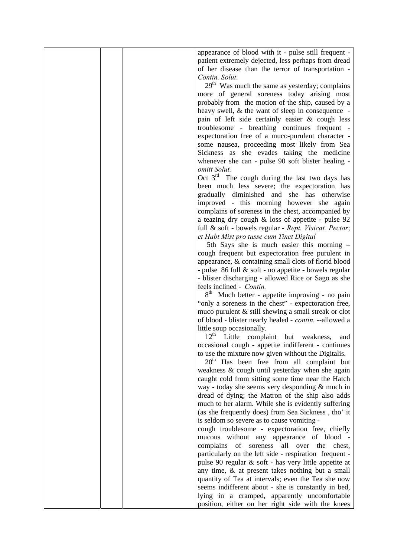| appearance of blood with it - pulse still frequent -       |
|------------------------------------------------------------|
| patient extremely dejected, less perhaps from dread        |
| of her disease than the terror of transportation -         |
| Contin. Solut.                                             |
| 29 <sup>th</sup> Was much the same as yesterday; complains |
| more of general soreness today arising most                |
| probably from the motion of the ship, caused by a          |
| heavy swell, & the want of sleep in consequence -          |
| pain of left side certainly easier & cough less            |
| troublesome - breathing continues frequent -               |
|                                                            |
| expectoration free of a muco-purulent character -          |
| some nausea, proceeding most likely from Sea               |
| Sickness as she evades taking the medicine                 |
| whenever she can - pulse 90 soft blister healing -         |
| omitt Solut.                                               |
| Oct $3rd$ The cough during the last two days has           |
| been much less severe; the expectoration has               |
| gradually diminished and she has otherwise                 |
| improved - this morning however she again                  |
| complains of soreness in the chest, accompanied by         |
| a teazing dry cough $&$ loss of appetite - pulse 92        |
| full & soft - bowels regular - Rept. Visicat. Pector;      |
| et Habt Mist pro tusse cum Tinct Digital                   |
| 5th Says she is much easier this morning -                 |
| cough frequent but expectoration free purulent in          |
| appearance, & containing small clots of florid blood       |
| - pulse 86 full & soft - no appetite - bowels regular      |
| - blister discharging - allowed Rice or Sago as she        |
| feels inclined - Contin.                                   |
| 8 <sup>th</sup> Much better - appetite improving - no pain |
| "only a soreness in the chest" - expectoration free,       |
| muco purulent $&$ still shewing a small streak or clot     |
| of blood - blister nearly healed - contin. --allowed a     |
| little soup occasionally.                                  |
|                                                            |
| 12 <sup>th</sup> Little complaint but weakness,<br>and     |
| occasional cough - appetite indifferent - continues        |
| to use the mixture now given without the Digitalis.        |
| 20 <sup>th</sup> Has been free from all complaint but      |
| weakness & cough until yesterday when she again            |
| caught cold from sitting some time near the Hatch          |
| way - today she seems very desponding & much in            |
| dread of dying; the Matron of the ship also adds           |
| much to her alarm. While she is evidently suffering        |
| (as she frequently does) from Sea Sickness, tho' it        |
| is seldom so severe as to cause vomiting -                 |
| cough troublesome - expectoration free, chiefly            |
| mucous without any appearance of blood -                   |
| soreness<br>complains<br>of<br>all<br>over the<br>chest,   |
| particularly on the left side - respiration frequent -     |
| pulse 90 regular & soft - has very little appetite at      |
| any time, & at present takes nothing but a small           |
| quantity of Tea at intervals; even the Tea she now         |
| seems indifferent about - she is constantly in bed,        |
| lying in a cramped, apparently uncomfortable               |
| position, either on her right side with the knees          |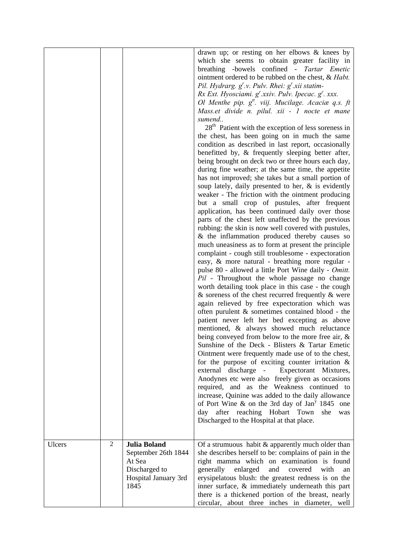|        |                |                                                                                                       | drawn up; or resting on her elbows $\&$ knees by<br>which she seems to obtain greater facility in<br>breathing -bowels confined - Tartar Emetic<br>ointment ordered to be rubbed on the chest, & Habt.<br>Pil. Hydrarg. $g' \nu$ . Pulv. Rhei: $g' \nxi$ statim-<br>Rx Ext. Hyosciami. $g'$ .xxiv. Pulv. Ipecac. $g'$ . xxx.<br>Ol Menthe pip. $g^{tt}$ . viij. Mucilage. Acaciæ q.s. ft<br>Mass.et divide n. pilul. xii - 1 nocte et mane<br>sumend<br>28 <sup>th</sup> Patient with the exception of less soreness in<br>the chest, has been going on in much the same<br>condition as described in last report, occasionally<br>benefitted by, & frequently sleeping better after,<br>being brought on deck two or three hours each day,<br>during fine weather; at the same time, the appetite<br>has not improved; she takes but a small portion of<br>soup lately, daily presented to her, $\&$ is evidently<br>weaker - The friction with the ointment producing<br>but a small crop of pustules, after frequent<br>application, has been continued daily over those<br>parts of the chest left unaffected by the previous<br>rubbing: the skin is now well covered with pustules,<br>& the inflammation produced thereby causes so<br>much uneasiness as to form at present the principle<br>complaint - cough still troublesome - expectoration<br>easy, & more natural - breathing more regular -<br>pulse 80 - allowed a little Port Wine daily - Omitt.<br>Pil - Throughout the whole passage no change<br>worth detailing took place in this case - the cough<br>$\&$ soreness of the chest recurred frequently $\&$ were<br>again relieved by free expectoration which was<br>often purulent & sometimes contained blood - the<br>patient never left her bed excepting as above<br>mentioned, & always showed much reluctance<br>being conveyed from below to the more free air, $\&$<br>Sunshine of the Deck - Blisters & Tartar Emetic<br>Ointment were frequently made use of to the chest,<br>for the purpose of exciting counter irritation $\&$<br>external discharge - Expectorant Mixtures,<br>Anodynes etc were also freely given as occasions<br>required, and as the Weakness continued to<br>increase, Quinine was added to the daily allowance<br>of Port Wine $\&$ on the 3rd day of Jan <sup>y</sup> 1845<br>one<br>day after reaching Hobart Town<br>she<br>was<br>Discharged to the Hospital at that place. |
|--------|----------------|-------------------------------------------------------------------------------------------------------|--------------------------------------------------------------------------------------------------------------------------------------------------------------------------------------------------------------------------------------------------------------------------------------------------------------------------------------------------------------------------------------------------------------------------------------------------------------------------------------------------------------------------------------------------------------------------------------------------------------------------------------------------------------------------------------------------------------------------------------------------------------------------------------------------------------------------------------------------------------------------------------------------------------------------------------------------------------------------------------------------------------------------------------------------------------------------------------------------------------------------------------------------------------------------------------------------------------------------------------------------------------------------------------------------------------------------------------------------------------------------------------------------------------------------------------------------------------------------------------------------------------------------------------------------------------------------------------------------------------------------------------------------------------------------------------------------------------------------------------------------------------------------------------------------------------------------------------------------------------------------------------------------------------------------------------------------------------------------------------------------------------------------------------------------------------------------------------------------------------------------------------------------------------------------------------------------------------------------------------------------------------------------------------------------------------------------------------------------------------------------------------------------------------------------------------------|
|        |                |                                                                                                       |                                                                                                                                                                                                                                                                                                                                                                                                                                                                                                                                                                                                                                                                                                                                                                                                                                                                                                                                                                                                                                                                                                                                                                                                                                                                                                                                                                                                                                                                                                                                                                                                                                                                                                                                                                                                                                                                                                                                                                                                                                                                                                                                                                                                                                                                                                                                                                                                                                            |
| Ulcers | $\overline{2}$ | <b>Julia Boland</b><br>September 26th 1844<br>At Sea<br>Discharged to<br>Hospital January 3rd<br>1845 | Of a strumuous habit $&$ apparently much older than<br>she describes herself to be: complains of pain in the<br>right mamma which on examination is found<br>and<br>generally<br>enlarged<br>covered<br>with<br>an<br>erysipelatous blush: the greatest redness is on the<br>inner surface, & immediately underneath this part<br>there is a thickened portion of the breast, nearly<br>circular, about three inches in diameter, well                                                                                                                                                                                                                                                                                                                                                                                                                                                                                                                                                                                                                                                                                                                                                                                                                                                                                                                                                                                                                                                                                                                                                                                                                                                                                                                                                                                                                                                                                                                                                                                                                                                                                                                                                                                                                                                                                                                                                                                                     |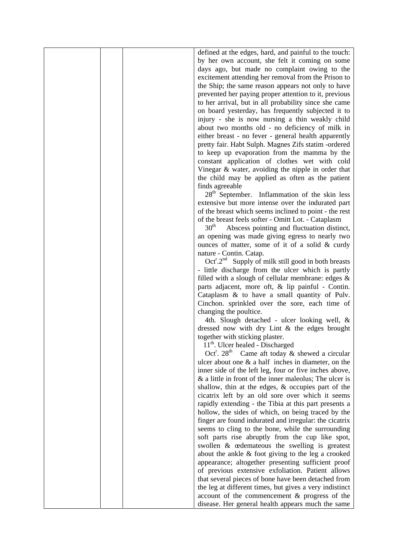defined at the edges, hard, and painful to the touch: by her own account, she felt it coming on some days ago, but made no complaint owing to the excitement attending her removal from the Prison to the Ship; the same reason appears not only to have prevented her paying proper attention to it, previous to her arrival, but in all probability since she came on board yesterday, has frequently subjected it to injury - she is now nursing a thin weakly child about two months old - no deficiency of milk in either breast - no fever - general health apparently pretty fair. Habt Sulph. Magnes Zifs statim -ordered to keep up evaporation from the mamma by the constant application of clothes wet with cold Vinegar & water, avoiding the nipple in order that the child may be applied as often as the patient finds agreeable

 $28<sup>th</sup>$  September. Inflammation of the skin less extensive but more intense over the indurated part of the breast which seems inclined to point - the rest of the breast feels softer - Omitt Lot. - Cataplasm

 $30<sup>th</sup>$  Abscess pointing and fluctuation distinct, an opening was made giving egress to nearly two ounces of matter, some of it of a solid & curdy nature - Contin. Catap.

 $Oct<sup>r</sup>.2<sup>nd</sup>$  Supply of milk still good in both breasts - little discharge from the ulcer which is partly filled with a slough of cellular membrane: edges  $\&$ parts adjacent, more oft, & lip painful - Contin. Cataplasm & to have a small quantity of Pulv. Cinchon. sprinkled over the sore, each time of changing the poultice.

 4th. Slough detached - ulcer looking well, & dressed now with dry Lint & the edges brought together with sticking plaster.

11<sup>th</sup>. Ulcer healed - Discharged

Oct<sup>r</sup>. 28<sup>th</sup> Came aft today  $\&$  shewed a circular ulcer about one & a half inches in diameter, on the inner side of the left leg, four or five inches above, & a little in front of the inner maleolus; The ulcer is shallow, thin at the edges, & occupies part of the cicatrix left by an old sore over which it seems rapidly extending - the Tibia at this part presents a hollow, the sides of which, on being traced by the finger are found indurated and irregular: the cicatrix seems to cling to the bone, while the surrounding soft parts rise abruptly from the cup like spot, swollen & œdemateous the swelling is greatest about the ankle & foot giving to the leg a crooked appearance; altogether presenting sufficient proof of previous extensive exfoliation. Patient allows that several pieces of bone have been detached from the leg at different times, but gives a very indistinct account of the commencement & progress of the disease. Her general health appears much the same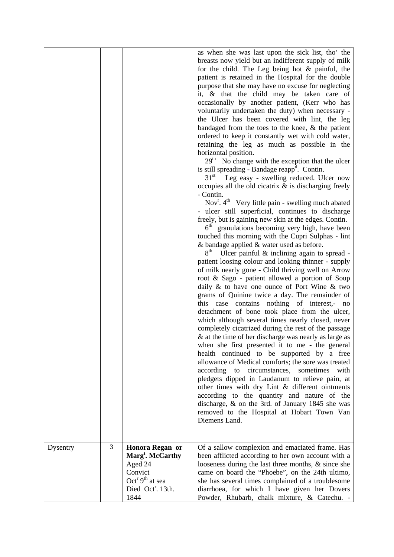|          |   |                                                                                                                                                           | as when she was last upon the sick list, tho' the<br>breasts now yield but an indifferent supply of milk<br>for the child. The Leg being hot $\&$ painful, the<br>patient is retained in the Hospital for the double<br>purpose that she may have no excuse for neglecting<br>it, & that the child may be taken care of<br>occasionally by another patient, (Kerr who has<br>voluntarily undertaken the duty) when necessary -<br>the Ulcer has been covered with lint, the leg<br>bandaged from the toes to the knee, $\&$ the patient<br>ordered to keep it constantly wet with cold water,<br>retaining the leg as much as possible in the<br>horizontal position.<br>$29th$ No change with the exception that the ulcer<br>is still spreading - Bandage reapp <sup>d</sup> . Contin.<br>$31^{\rm st}$<br>Leg easy - swelling reduced. Ulcer now<br>occupies all the old cicatrix $\&$ is discharging freely<br>- Contin.<br>Nov <sup>r</sup> . 4 <sup>th</sup> Very little pain - swelling much abated<br>- ulcer still superficial, continues to discharge<br>freely, but is gaining new skin at the edges. Contin.<br>$6th$ granulations becoming very high, have been<br>touched this morning with the Cupri Sulphas - lint<br>$\&$ bandage applied $\&$ water used as before.<br>8 <sup>th</sup><br>Ulcer painful $\&$ inclining again to spread -<br>patient loosing colour and looking thinner - supply<br>of milk nearly gone - Child thriving well on Arrow<br>root & Sago - patient allowed a portion of Soup<br>daily $\&$ to have one ounce of Port Wine $\&$ two<br>grams of Quinine twice a day. The remainder of<br>this case contains nothing of interest,- no<br>detachment of bone took place from the ulcer,<br>which although several times nearly closed, never<br>completely cicatrized during the rest of the passage<br>& at the time of her discharge was nearly as large as<br>when she first presented it to me - the general<br>health continued to be supported by a free<br>allowance of Medical comforts; the sore was treated<br>according to circumstances, sometimes<br>with<br>pledgets dipped in Laudanum to relieve pain, at<br>other times with dry Lint & different ointments<br>according to the quantity and nature of the<br>discharge, & on the 3rd. of January 1845 she was<br>removed to the Hospital at Hobart Town Van<br>Diemens Land. |
|----------|---|-----------------------------------------------------------------------------------------------------------------------------------------------------------|-------------------------------------------------------------------------------------------------------------------------------------------------------------------------------------------------------------------------------------------------------------------------------------------------------------------------------------------------------------------------------------------------------------------------------------------------------------------------------------------------------------------------------------------------------------------------------------------------------------------------------------------------------------------------------------------------------------------------------------------------------------------------------------------------------------------------------------------------------------------------------------------------------------------------------------------------------------------------------------------------------------------------------------------------------------------------------------------------------------------------------------------------------------------------------------------------------------------------------------------------------------------------------------------------------------------------------------------------------------------------------------------------------------------------------------------------------------------------------------------------------------------------------------------------------------------------------------------------------------------------------------------------------------------------------------------------------------------------------------------------------------------------------------------------------------------------------------------------------------------------------------------------------------------------------------------------------------------------------------------------------------------------------------------------------------------------------------------------------------------------------------------------------------------------------------------------------------------------------------------------------------------------------------------------------------------------------------------------------------------------------------------|
| Dysentry | 3 | Honora Regan or<br>Marg <sup>t</sup> . McCarthy<br>Aged 24<br>Convict<br>Oct <sup>r</sup> 9 <sup>th</sup> at sea<br>Died Oct <sup>r</sup> . 13th.<br>1844 | Of a sallow complexion and emaciated frame. Has<br>been afflicted according to her own account with a<br>looseness during the last three months, & since she<br>came on board the "Phoebe", on the 24th ultimo,<br>she has several times complained of a troublesome<br>diarrhoea, for which I have given her Dovers<br>Powder, Rhubarb, chalk mixture, & Catechu. -                                                                                                                                                                                                                                                                                                                                                                                                                                                                                                                                                                                                                                                                                                                                                                                                                                                                                                                                                                                                                                                                                                                                                                                                                                                                                                                                                                                                                                                                                                                                                                                                                                                                                                                                                                                                                                                                                                                                                                                                                      |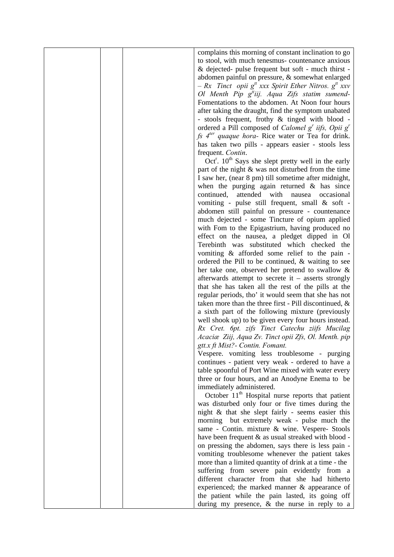complains this morning of constant inclination to go to stool, with much tenesmus- countenance anxious & dejected- pulse frequent but soft - much thirst abdomen painful on pressure, & somewhat enlarged  $-Rx$  *Tinct opii*  $g^{tt}$  *xxx Spirit Ether Nitros.*  $g^{tt}$  *xxv* Ol Menth Pip g<sup>it</sup>iij. Aqua Zifs statim sumend-Fomentations to the abdomen. At Noon four hours after taking the draught, find the symptom unabated - stools frequent, frothy & tinged with blood ordered a Pill composed of *Calomel g<sup>r</sup>* iifs, Opii g<sup>*r*</sup> *fs 4ter quaque hora-* Rice water or Tea for drink. has taken two pills - appears easier - stools less frequent. *Contin*.

Oct<sup>r</sup>.  $10^{th}$  Says she slept pretty well in the early part of the night & was not disturbed from the time I saw her, (near 8 pm) till sometime after midnight, when the purging again returned  $\&$  has since continued, attended with nausea occasional vomiting - pulse still frequent, small & soft abdomen still painful on pressure - countenance much dejected - some Tincture of opium applied with Fom to the Epigastrium, having produced no effect on the nausea, a pledget dipped in Ol Terebinth was substituted which checked the vomiting & afforded some relief to the pain ordered the Pill to be continued, & waiting to see her take one, observed her pretend to swallow & afterwards attempt to secrete it – asserts strongly that she has taken all the rest of the pills at the regular periods, tho' it would seem that she has not taken more than the three first - Pill discontinued, & a sixth part of the following mixture (previously well shook up) to be given every four hours instead. *Rx Cret. 6pt. zifs Tinct Catechu ziifs Mucilag Acaciæ Ziij, Aqua Zv. Tinct opii Zfs, Ol. Menth. pip gtt.x ft Mist?- Contin. Fomant.*

Vespere. vomiting less troublesome - purging continues - patient very weak - ordered to have a table spoonful of Port Wine mixed with water every three or four hours, and an Anodyne Enema to be immediately administered.

October  $11<sup>th</sup>$  Hospital nurse reports that patient was disturbed only four or five times during the night & that she slept fairly - seems easier this morning but extremely weak - pulse much the same - Contin. mixture & wine. Vespere- Stools have been frequent & as usual streaked with blood on pressing the abdomen, says there is less pain vomiting troublesome whenever the patient takes more than a limited quantity of drink at a time - the suffering from severe pain evidently from a different character from that she had hitherto experienced; the marked manner & appearance of the patient while the pain lasted, its going off during my presence, & the nurse in reply to a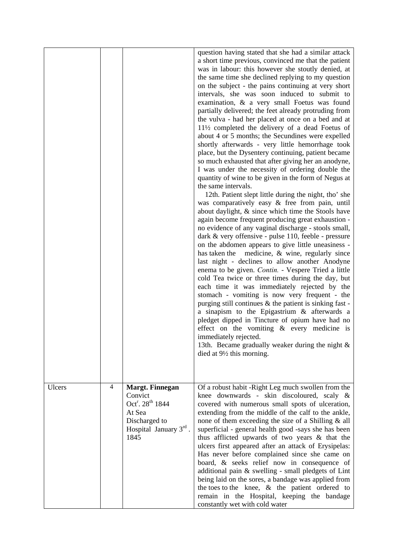|        |   |                                                                                                                                           | question having stated that she had a similar attack<br>a short time previous, convinced me that the patient<br>was in labour: this however she stoutly denied, at<br>the same time she declined replying to my question<br>on the subject - the pains continuing at very short<br>intervals, she was soon induced to submit to<br>examination, & a very small Foetus was found<br>partially delivered; the feet already protruding from<br>the vulva - had her placed at once on a bed and at<br>$11\frac{1}{2}$ completed the delivery of a dead Foetus of<br>about 4 or 5 months; the Secundines were expelled<br>shortly afterwards - very little hemorrhage took<br>place, but the Dysentery continuing, patient became<br>so much exhausted that after giving her an anodyne,<br>I was under the necessity of ordering double the<br>quantity of wine to be given in the form of Negus at<br>the same intervals.<br>12th. Patient slept little during the night, tho' she<br>was comparatively easy & free from pain, until<br>about daylight, & since which time the Stools have<br>again become frequent producing great exhaustion -<br>no evidence of any vaginal discharge - stools small,<br>dark & very offensive - pulse 110, feeble - pressure<br>on the abdomen appears to give little uneasiness -<br>medicine, & wine, regularly since<br>has taken the<br>last night - declines to allow another Anodyne<br>enema to be given. Contin. - Vespere Tried a little<br>cold Tea twice or three times during the day, but<br>each time it was immediately rejected by the<br>stomach - vomiting is now very frequent - the<br>purging still continues & the patient is sinking fast -<br>a sinapism to the Epigastrium & afterwards a<br>pledget dipped in Tincture of opium have had no<br>effect on the vomiting $\&$ every medicine is<br>immediately rejected.<br>13th. Became gradually weaker during the night $\&$<br>died at $9\frac{1}{2}$ this morning. |
|--------|---|-------------------------------------------------------------------------------------------------------------------------------------------|---------------------------------------------------------------------------------------------------------------------------------------------------------------------------------------------------------------------------------------------------------------------------------------------------------------------------------------------------------------------------------------------------------------------------------------------------------------------------------------------------------------------------------------------------------------------------------------------------------------------------------------------------------------------------------------------------------------------------------------------------------------------------------------------------------------------------------------------------------------------------------------------------------------------------------------------------------------------------------------------------------------------------------------------------------------------------------------------------------------------------------------------------------------------------------------------------------------------------------------------------------------------------------------------------------------------------------------------------------------------------------------------------------------------------------------------------------------------------------------------------------------------------------------------------------------------------------------------------------------------------------------------------------------------------------------------------------------------------------------------------------------------------------------------------------------------------------------------------------------------------------------------------------------------------------------------------------------------------------|
| Ulcers | 4 | <b>Margt. Finnegan</b><br>Convict<br>Oct <sup>r</sup> . 28 <sup>th</sup> 1844<br>At Sea<br>Discharged to<br>Hospital January 3rd.<br>1845 | Of a robust habit -Right Leg much swollen from the<br>knee downwards - skin discoloured, scaly $\&$<br>covered with numerous small spots of ulceration,<br>extending from the middle of the calf to the ankle,<br>none of them exceeding the size of a Shilling & all<br>superficial - general health good -says she has been<br>thus afflicted upwards of two years & that the<br>ulcers first appeared after an attack of Erysipelas:<br>Has never before complained since she came on<br>board, & seeks relief now in consequence of<br>additional pain & swelling - small pledgets of Lint<br>being laid on the sores, a bandage was applied from<br>the toes to the knee, $\&$ the patient ordered to<br>remain in the Hospital, keeping the bandage<br>constantly wet with cold water                                                                                                                                                                                                                                                                                                                                                                                                                                                                                                                                                                                                                                                                                                                                                                                                                                                                                                                                                                                                                                                                                                                                                                                     |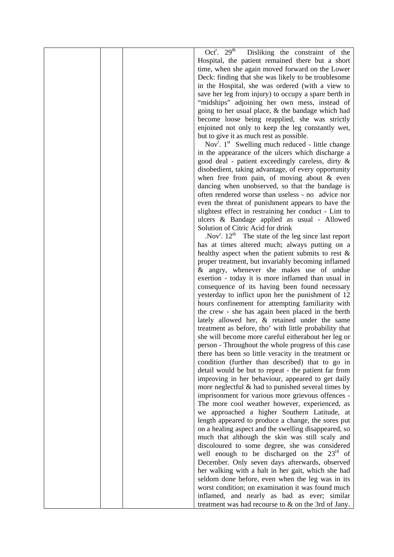|  | Oct <sup>r</sup> . 29 <sup>th</sup><br>Disliking the constraint of the |
|--|------------------------------------------------------------------------|
|  | Hospital, the patient remained there but a short                       |
|  | time, when she again moved forward on the Lower                        |
|  | Deck: finding that she was likely to be troublesome                    |
|  | in the Hospital, she was ordered (with a view to                       |
|  | save her leg from injury) to occupy a spare berth in                   |
|  | "midships" adjoining her own mess, instead of                          |
|  | going to her usual place, & the bandage which had                      |
|  | become loose being reapplied, she was strictly                         |
|  | enjoined not only to keep the leg constantly wet,                      |
|  | but to give it as much rest as possible.                               |
|  | Nov <sup>r</sup> . $1^{st}$ Swelling much reduced - little change      |
|  | in the appearance of the ulcers which discharge a                      |
|  | good deal - patient exceedingly careless, dirty &                      |
|  | disobedient, taking advantage, of every opportunity                    |
|  | when free from pain, of moving about $\&$ even                         |
|  | dancing when unobserved, so that the bandage is                        |
|  | often rendered worse than useless - no advice nor                      |
|  | even the threat of punishment appears to have the                      |
|  | slightest effect in restraining her conduct - Lint to                  |
|  | ulcers & Bandage applied as usual - Allowed                            |
|  | Solution of Citric Acid for drink                                      |
|  | . Nov <sup>r</sup> . $12^{th}$ The state of the leg since last report  |
|  | has at times altered much; always putting on a                         |
|  | healthy aspect when the patient submits to rest $\&$                   |
|  | proper treatment, but invariably becoming inflamed                     |
|  | & angry, whenever she makes use of undue                               |
|  | exertion - today it is more inflamed than usual in                     |
|  | consequence of its having been found necessary                         |
|  | yesterday to inflict upon her the punishment of 12                     |
|  | hours confinement for attempting familiarity with                      |
|  | the crew - she has again been placed in the berth                      |
|  | lately allowed her, & retained under the same                          |
|  | treatment as before, tho' with little probability that                 |
|  | she will become more careful eitherabout her leg or                    |
|  | person - Throughout the whole progress of this case                    |
|  | there has been so little veracity in the treatment or                  |
|  | condition (further than described) that to go in                       |
|  | detail would be but to repeat - the patient far from                   |
|  | improving in her behaviour, appeared to get daily                      |
|  | more neglectful $\&$ had to punished several times by                  |
|  | imprisonment for various more grievous offences -                      |
|  | The more cool weather however, experienced, as                         |
|  | we approached a higher Southern Latitude, at                           |
|  | length appeared to produce a change, the sores put                     |
|  | on a healing aspect and the swelling disappeared, so                   |
|  | much that although the skin was still scaly and                        |
|  | discoloured to some degree, she was considered                         |
|  | well enough to be discharged on the $23rd$ of                          |
|  | December. Only seven days afterwards, observed                         |
|  | her walking with a halt in her gait, which she had                     |
|  | seldom done before, even when the leg was in its                       |
|  | worst condition; on examination it was found much                      |
|  | inflamed, and nearly as bad as ever; similar                           |
|  | treatment was had recourse to & on the 3rd of Jany.                    |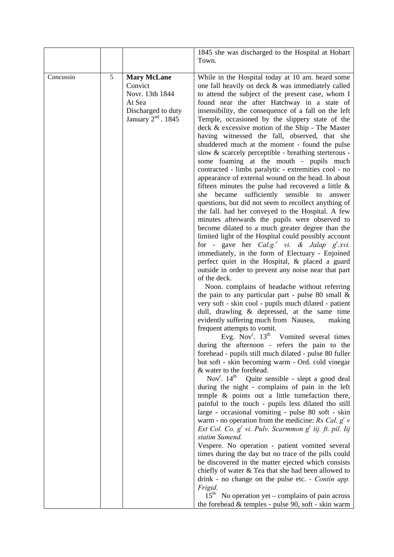|           |   |                                                                                                          | 1845 she was discharged to the Hospital at Hobart                                                                                                                                                                                                                                                                                                                                                                                                                                                                                                                                                                                                                                                                                                                                                                                                                                                                                                                                                                                                                                                                                                                                                                                                                                                                                                                                                                                                                                                                                                                                                                                                                                                                                                                                                                                                                  |
|-----------|---|----------------------------------------------------------------------------------------------------------|--------------------------------------------------------------------------------------------------------------------------------------------------------------------------------------------------------------------------------------------------------------------------------------------------------------------------------------------------------------------------------------------------------------------------------------------------------------------------------------------------------------------------------------------------------------------------------------------------------------------------------------------------------------------------------------------------------------------------------------------------------------------------------------------------------------------------------------------------------------------------------------------------------------------------------------------------------------------------------------------------------------------------------------------------------------------------------------------------------------------------------------------------------------------------------------------------------------------------------------------------------------------------------------------------------------------------------------------------------------------------------------------------------------------------------------------------------------------------------------------------------------------------------------------------------------------------------------------------------------------------------------------------------------------------------------------------------------------------------------------------------------------------------------------------------------------------------------------------------------------|
|           |   |                                                                                                          |                                                                                                                                                                                                                                                                                                                                                                                                                                                                                                                                                                                                                                                                                                                                                                                                                                                                                                                                                                                                                                                                                                                                                                                                                                                                                                                                                                                                                                                                                                                                                                                                                                                                                                                                                                                                                                                                    |
| Concussio | 5 | <b>Mary McLane</b><br>Convict<br>Novr. 13th 1844<br>At Sea<br>Discharged to duty<br>January $2nd$ . 1845 | Town.<br>While in the Hospital today at 10 am. heard some<br>one fall heavily on deck & was immediately called<br>to attend the subject of the present case, whom I<br>found near the after Hatchway in a state of<br>insensibility, the consequence of a fall on the left<br>Temple, occasioned by the slippery state of the<br>deck & excessive motion of the Ship - The Master<br>having witnessed the fall, observed, that she<br>shuddered much at the moment - found the pulse<br>slow & scarcely perceptible - breathing sterterous -<br>some foaming at the mouth - pupils much<br>contracted - limbs paralytic - extremities cool - no<br>appearance of external wound on the head. In about<br>fifteen minutes the pulse had recovered a little $\&$<br>she became sufficiently sensible to<br>answer<br>questions, but did not seem to recollect anything of<br>the fall. had her conveyed to the Hospital. A few<br>minutes afterwards the pupils were observed to<br>become dilated to a much greater degree than the<br>limited light of the Hospital could possibly account<br>for - gave her $Cal.g.'$ vi. & Jalap $g'.xvi.$<br>immediately, in the form of Electuary - Enjoined<br>perfect quiet in the Hospital, & placed a guard<br>outside in order to prevent any noise near that part<br>of the deck.<br>Noon. complains of headache without referring<br>the pain to any particular part - pulse 80 small $\&$<br>very soft - skin cool - pupils much dilated - patient<br>dull, drawling & depressed, at the same time<br>evidently suffering much from Nausea,<br>making<br>frequent attempts to vomit.<br>Evg. Nov <sup>r</sup> . 13 <sup>th</sup> Vomited several times<br>during the afternoon - refers the pain to the<br>forehead - pupils still much dilated - pulse 80 fuller<br>but soft - skin becoming warm - Ord. cold vinegar |
|           |   |                                                                                                          | & water to the forehead.<br>Nov <sup>r</sup> . 14 <sup>th</sup> Quite sensible - slept a good deal<br>during the night - complains of pain in the left<br>temple & points out a little tumefaction there,<br>painful to the touch - pupils less dilated tho still<br>large - occasional vomiting - pulse 80 soft - skin<br>warm - no operation from the medicine: $Rx$ Cal. $gr$ v<br>Ext Col. Co. g <sup>r</sup> vi. Pulv. Scarmmon g <sup>r</sup> iij. ft. pil. Iij                                                                                                                                                                                                                                                                                                                                                                                                                                                                                                                                                                                                                                                                                                                                                                                                                                                                                                                                                                                                                                                                                                                                                                                                                                                                                                                                                                                              |
|           |   |                                                                                                          | statim Sumend.<br>Vespere. No operation - patient vomited several<br>times during the day but no trace of the pills could<br>be discovered in the matter ejected which consists<br>chiefly of water $\&$ Tea that she had been allowed to<br>drink - no change on the pulse etc. - Contin app.<br>Frigid.<br>$15th$ No operation yet – complains of pain across<br>the forehead $&$ temples - pulse 90, soft - skin warm                                                                                                                                                                                                                                                                                                                                                                                                                                                                                                                                                                                                                                                                                                                                                                                                                                                                                                                                                                                                                                                                                                                                                                                                                                                                                                                                                                                                                                           |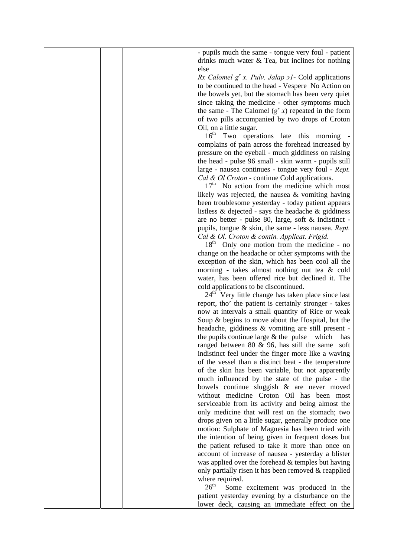| - pupils much the same - tongue very foul - patient                         |
|-----------------------------------------------------------------------------|
| drinks much water $\&$ Tea, but inclines for nothing                        |
| else                                                                        |
| Rx Calomel $g^r x$ . Pulv. Jalap $\overline{\partial}I$ - Cold applications |
| to be continued to the head - Vespere No Action on                          |
| the bowels yet, but the stomach has been very quiet                         |
| since taking the medicine - other symptoms much                             |
| the same - The Calomel $(g^{r} x)$ repeated in the form                     |
| of two pills accompanied by two drops of Croton                             |
| Oil, on a little sugar.                                                     |
| 16 <sup>th</sup> Two operations late this morning                           |
| complains of pain across the forehead increased by                          |
| pressure on the eyeball - much giddiness on raising                         |
|                                                                             |
| the head - pulse 96 small - skin warm - pupils still                        |
| large - nausea continues - tongue very foul - Rept.                         |
| Cal & Ol Croton - continue Cold applications.                               |
| $17th$ No action from the medicine which most                               |
| likely was rejected, the nausea $\&$ vomiting having                        |
| been troublesome yesterday - today patient appears                          |
| listless & dejected - says the headache & giddiness                         |
| are no better - pulse 80, large, soft & indistinct -                        |
| pupils, tongue $\&$ skin, the same - less nausea. Rept.                     |
| Cal & Ol. Croton & contin. Applicat. Frigid.                                |
| 18 <sup>th</sup><br>Only one motion from the medicine - no                  |
| change on the headache or other symptoms with the                           |
| exception of the skin, which has been cool all the                          |
| morning - takes almost nothing nut tea & cold                               |
| water, has been offered rice but declined it. The                           |
| cold applications to be discontinued.                                       |
| $24th$ Very little change has taken place since last                        |
| report, tho' the patient is certainly stronger - takes                      |
| now at intervals a small quantity of Rice or weak                           |
| Soup & begins to move about the Hospital, but the                           |
| headache, giddiness & vomiting are still present -                          |
| the pupils continue large $&$ the pulse which has                           |
|                                                                             |
| ranged between $80 \& 96$ , has still the same soft                         |
| indistinct feel under the finger more like a waving                         |
| of the vessel than a distinct beat - the temperature                        |
| of the skin has been variable, but not apparently                           |
| much influenced by the state of the pulse - the                             |
| bowels continue sluggish & are never moved                                  |
| without medicine Croton Oil has been most                                   |
| serviceable from its activity and being almost the                          |
| only medicine that will rest on the stomach; two                            |
| drops given on a little sugar, generally produce one                        |
| motion: Sulphate of Magnesia has been tried with                            |
| the intention of being given in frequent doses but                          |
| the patient refused to take it more than once on                            |
| account of increase of nausea - yesterday a blister                         |
| was applied over the forehead & temples but having                          |
| only partially risen it has been removed & reapplied                        |
| where required.                                                             |
| $26^{\text{th}}$<br>Some excitement was produced in the                     |
| patient yesterday evening by a disturbance on the                           |
|                                                                             |
| lower deck, causing an immediate effect on the                              |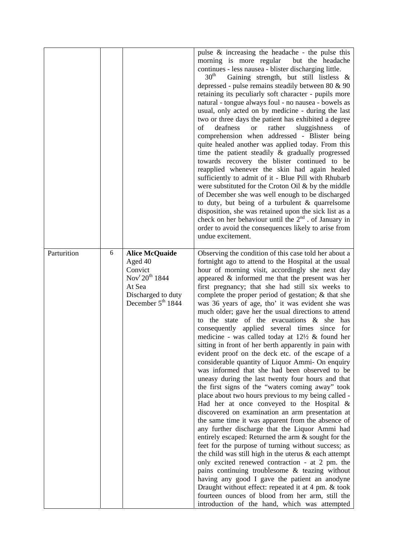|             |   |                                                                                                                                       | pulse $\&$ increasing the headache - the pulse this                                                                                                                                                                                                                                                                                                                                                                                                                                                                                                                                                                                                                                                                                                                                                                                                                                                                                                                                                                                                                                                                                                                                                                                                                                                                                                                                                                                                                                                                                                                                                                                                                                                         |
|-------------|---|---------------------------------------------------------------------------------------------------------------------------------------|-------------------------------------------------------------------------------------------------------------------------------------------------------------------------------------------------------------------------------------------------------------------------------------------------------------------------------------------------------------------------------------------------------------------------------------------------------------------------------------------------------------------------------------------------------------------------------------------------------------------------------------------------------------------------------------------------------------------------------------------------------------------------------------------------------------------------------------------------------------------------------------------------------------------------------------------------------------------------------------------------------------------------------------------------------------------------------------------------------------------------------------------------------------------------------------------------------------------------------------------------------------------------------------------------------------------------------------------------------------------------------------------------------------------------------------------------------------------------------------------------------------------------------------------------------------------------------------------------------------------------------------------------------------------------------------------------------------|
|             |   |                                                                                                                                       | morning is more regular<br>but the headache<br>continues - less nausea - blister discharging little.<br>30 <sup>th</sup><br>Gaining strength, but still listless &<br>depressed - pulse remains steadily between 80 & 90<br>retaining its peculiarly soft character - pupils more<br>natural - tongue always foul - no nausea - bowels as<br>usual, only acted on by medicine - during the last<br>two or three days the patient has exhibited a degree<br>deafness<br>sluggishness<br>of<br>rather<br><b>or</b><br>of<br>comprehension when addressed - Blister being<br>quite healed another was applied today. From this<br>time the patient steadily & gradually progressed<br>towards recovery the blister continued to be<br>reapplied whenever the skin had again healed<br>sufficiently to admit of it - Blue Pill with Rhubarb<br>were substituted for the Croton Oil $\&$ by the middle<br>of December she was well enough to be discharged<br>to duty, but being of a turbulent & quarrelsome<br>disposition, she was retained upon the sick list as a<br>check on her behaviour until the 2 <sup>nd</sup> . of January in<br>order to avoid the consequences likely to arise from<br>undue excitement.                                                                                                                                                                                                                                                                                                                                                                                                                                                                                          |
| Parturition | 6 | <b>Alice McQuaide</b><br>Aged 40<br>Convict<br>Nov <sup>r</sup> $20^{th}$ 1844<br>At Sea<br>Discharged to duty<br>December $5th 1844$ | Observing the condition of this case told her about a<br>fortnight ago to attend to the Hospital at the usual<br>hour of morning visit, accordingly she next day<br>appeared $\&$ informed me that the present was her<br>first pregnancy; that she had still six weeks to<br>complete the proper period of gestation; $\&$ that she<br>was 36 years of age, tho' it was evident she was<br>much older; gave her the usual directions to attend<br>to the state of the evacuations $\&$ she has<br>applied several times since for<br>consequently<br>medicine - was called today at $12\frac{1}{2}$ & found her<br>sitting in front of her berth apparently in pain with<br>evident proof on the deck etc. of the escape of a<br>considerable quantity of Liquor Ammi- On enquiry<br>was informed that she had been observed to be<br>uneasy during the last twenty four hours and that<br>the first signs of the "waters coming away" took<br>place about two hours previous to my being called -<br>Had her at once conveyed to the Hospital $\&$<br>discovered on examination an arm presentation at<br>the same time it was apparent from the absence of<br>any further discharge that the Liquor Ammi had<br>entirely escaped: Returned the arm & sought for the<br>feet for the purpose of turning without success; as<br>the child was still high in the uterus $\&$ each attempt<br>only excited renewed contraction - at 2 pm. the<br>pains continuing troublesome & teazing without<br>having any good I gave the patient an anodyne<br>Draught without effect: repeated it at 4 pm. & took<br>fourteen ounces of blood from her arm, still the<br>introduction of the hand, which was attempted |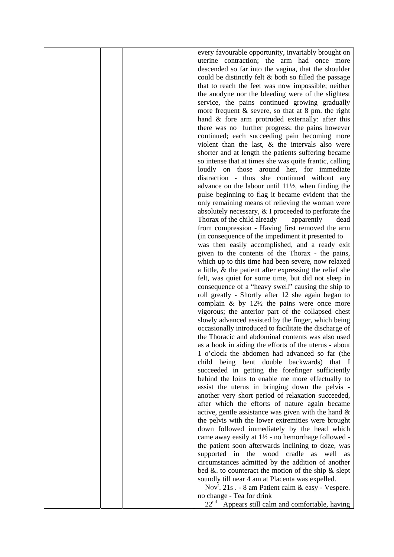|  | every favourable opportunity, invariably brought on               |
|--|-------------------------------------------------------------------|
|  | uterine contraction; the arm had once more                        |
|  | descended so far into the vagina, that the shoulder               |
|  | could be distinctly felt & both so filled the passage             |
|  | that to reach the feet was now impossible; neither                |
|  | the anodyne nor the bleeding were of the slightest                |
|  | service, the pains continued growing gradually                    |
|  |                                                                   |
|  | more frequent $&$ severe, so that at 8 pm. the right              |
|  | hand & fore arm protruded externally: after this                  |
|  | there was no further progress: the pains however                  |
|  | continued; each succeeding pain becoming more                     |
|  | violent than the last, $\&$ the intervals also were               |
|  | shorter and at length the patients suffering became               |
|  | so intense that at times she was quite frantic, calling           |
|  | loudly on those around her, for immediate                         |
|  | distraction - thus she continued without any                      |
|  | advance on the labour until $11\frac{1}{2}$ , when finding the    |
|  | pulse beginning to flag it became evident that the                |
|  | only remaining means of relieving the woman were                  |
|  | absolutely necessary, & I proceeded to perforate the              |
|  | Thorax of the child already<br>apparently<br>dead                 |
|  | from compression - Having first removed the arm                   |
|  | (in consequence of the impediment it presented to                 |
|  |                                                                   |
|  | was then easily accomplished, and a ready exit                    |
|  | given to the contents of the Thorax - the pains,                  |
|  | which up to this time had been severe, now relaxed                |
|  | a little, $\&$ the patient after expressing the relief she        |
|  | felt, was quiet for some time, but did not sleep in               |
|  | consequence of a "heavy swell" causing the ship to                |
|  | roll greatly - Shortly after 12 she again began to                |
|  | complain $\&$ by 12½ the pains were once more                     |
|  | vigorous; the anterior part of the collapsed chest                |
|  | slowly advanced assisted by the finger, which being               |
|  | occasionally introduced to facilitate the discharge of            |
|  | the Thoracic and abdominal contents was also used                 |
|  | as a hook in aiding the efforts of the uterus - about             |
|  | 1 o'clock the abdomen had advanced so far (the                    |
|  | child being bent double backwards) that I                         |
|  | succeeded in getting the forefinger sufficiently                  |
|  | behind the loins to enable me more effectually to                 |
|  |                                                                   |
|  | assist the uterus in bringing down the pelvis -                   |
|  | another very short period of relaxation succeeded,                |
|  | after which the efforts of nature again became                    |
|  | active, gentle assistance was given with the hand $\&$            |
|  | the pelvis with the lower extremities were brought                |
|  | down followed immediately by the head which                       |
|  | came away easily at $1\frac{1}{2}$ - no hemorrhage followed -     |
|  | the patient soon afterwards inclining to doze, was                |
|  | supported in the wood cradle as well as                           |
|  | circumstances admitted by the addition of another                 |
|  | bed $\&$ . to counteract the motion of the ship $\&$ slept        |
|  | soundly till near 4 am at Placenta was expelled.                  |
|  | Nov <sup>r</sup> . 21s . - 8 am Patient calm $\&$ easy - Vespere. |
|  | no change - Tea for drink                                         |
|  | 22 <sup>nd</sup><br>Appears still calm and comfortable, having    |
|  |                                                                   |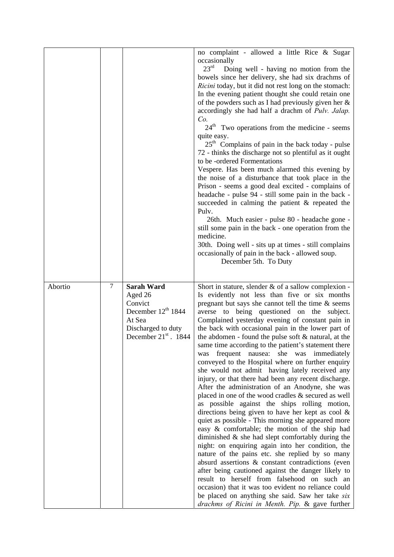|         |   |                                                                                                                           | no complaint - allowed a little Rice & Sugar<br>occasionally<br>$23^{\rm rd}$<br>Doing well - having no motion from the<br>bowels since her delivery, she had six drachms of<br>Ricini today, but it did not rest long on the stomach:<br>In the evening patient thought she could retain one<br>of the powders such as I had previously given her &<br>accordingly she had half a drachm of Pulv. Jalap.<br>Co.<br>24 <sup>th</sup> Two operations from the medicine - seems<br>quite easy.<br>$25th$ Complains of pain in the back today - pulse<br>72 - thinks the discharge not so plentiful as it ought<br>to be -ordered Formentations<br>Vespere. Has been much alarmed this evening by<br>the noise of a disturbance that took place in the<br>Prison - seems a good deal excited - complains of<br>headache - pulse 94 - still some pain in the back -<br>succeeded in calming the patient & repeated the<br>Pulv.<br>26th. Much easier - pulse 80 - headache gone -<br>still some pain in the back - one operation from the<br>medicine.<br>30th. Doing well - sits up at times - still complains<br>occasionally of pain in the back - allowed soup.<br>December 5th. To Duty                                                                                                                                                                                                                                                                                      |
|---------|---|---------------------------------------------------------------------------------------------------------------------------|-------------------------------------------------------------------------------------------------------------------------------------------------------------------------------------------------------------------------------------------------------------------------------------------------------------------------------------------------------------------------------------------------------------------------------------------------------------------------------------------------------------------------------------------------------------------------------------------------------------------------------------------------------------------------------------------------------------------------------------------------------------------------------------------------------------------------------------------------------------------------------------------------------------------------------------------------------------------------------------------------------------------------------------------------------------------------------------------------------------------------------------------------------------------------------------------------------------------------------------------------------------------------------------------------------------------------------------------------------------------------------------------------------------------------------------------------------------------------------|
| Abortio | 7 | <b>Sarah Ward</b><br>Aged 26<br>Convict<br>December $12th 1844$<br>At Sea<br>Discharged to duty<br>December $21st$ . 1844 | Short in stature, slender $\&$ of a sallow complexion -<br>Is evidently not less than five or six months<br>pregnant but says she cannot tell the time $\&$ seems<br>averse to being questioned on the subject.<br>Complained yesterday evening of constant pain in<br>the back with occasional pain in the lower part of<br>the abdomen - found the pulse soft $\&$ natural, at the<br>same time according to the patient's statement there<br>frequent nausea: she was immediately<br>was<br>conveyed to the Hospital where on further enquiry<br>she would not admit having lately received any<br>injury, or that there had been any recent discharge.<br>After the administration of an Anodyne, she was<br>placed in one of the wood cradles & secured as well<br>as possible against the ships rolling motion,<br>directions being given to have her kept as cool $\&$<br>quiet as possible - This morning she appeared more<br>easy & comfortable; the motion of the ship had<br>diminished $\&$ she had slept comfortably during the<br>night: on enquiring again into her condition, the<br>nature of the pains etc. she replied by so many<br>absurd assertions & constant contradictions (even<br>after being cautioned against the danger likely to<br>result to herself from falsehood on such an<br>occasion) that it was too evident no reliance could<br>be placed on anything she said. Saw her take six<br>drachms of Ricini in Menth. Pip. & gave further |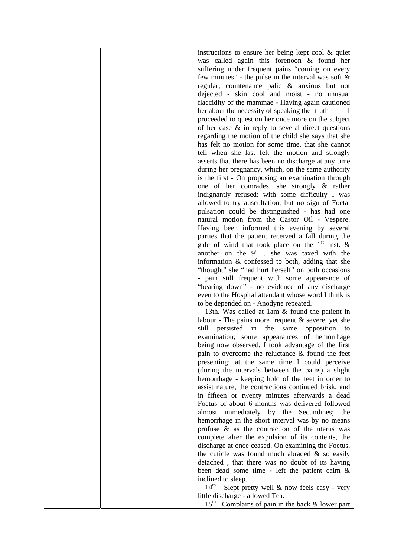| instructions to ensure her being kept cool & quiet            |
|---------------------------------------------------------------|
| was called again this forenoon & found her                    |
|                                                               |
| suffering under frequent pains "coming on every               |
| few minutes" - the pulse in the interval was soft $\&$        |
| regular; countenance palid & anxious but not                  |
| dejected - skin cool and moist - no unusual                   |
| flaccidity of the mammae - Having again cautioned             |
|                                                               |
| her about the necessity of speaking the truth                 |
| proceeded to question her once more on the subject            |
| of her case $\&$ in reply to several direct questions         |
| regarding the motion of the child she says that she           |
| has felt no motion for some time, that she cannot             |
|                                                               |
| tell when she last felt the motion and strongly               |
| asserts that there has been no discharge at any time          |
| during her pregnancy, which, on the same authority            |
| is the first - On proposing an examination through            |
|                                                               |
| one of her comrades, she strongly & rather                    |
| indignantly refused: with some difficulty I was               |
| allowed to try auscultation, but no sign of Foetal            |
| pulsation could be distinguished - has had one                |
| natural motion from the Castor Oil - Vespere.                 |
| Having been informed this evening by several                  |
|                                                               |
| parties that the patient received a fall during the           |
| gale of wind that took place on the 1 <sup>st</sup> Inst. &   |
| another on the $9th$ . she was taxed with the                 |
| information & confessed to both, adding that she              |
| "thought" she "had hurt herself" on both occasions            |
|                                                               |
| - pain still frequent with some appearance of                 |
| "bearing down" - no evidence of any discharge                 |
| even to the Hospital attendant whose word I think is          |
| to be depended on - Anodyne repeated.                         |
| 13th. Was called at 1am & found the patient in                |
| labour - The pains more frequent $&$ severe, yet she          |
|                                                               |
| persisted in<br>the<br>same<br>opposition<br>still<br>to      |
| examination; some appearances of hemorrhage                   |
| being now observed, I took advantage of the first             |
| pain to overcome the reluctance $\&$ found the feet           |
| presenting; at the same time I could perceive                 |
|                                                               |
| (during the intervals between the pains) a slight             |
| hemorrhage - keeping hold of the feet in order to             |
| assist nature, the contractions continued brisk, and          |
| in fifteen or twenty minutes afterwards a dead                |
| Foetus of about 6 months was delivered followed               |
| almost immediately by the Secundines; the                     |
|                                                               |
| hemorrhage in the short interval was by no means              |
| profuse $\&$ as the contraction of the uterus was             |
| complete after the expulsion of its contents, the             |
| discharge at once ceased. On examining the Foetus,            |
| the cuticle was found much abraded $\&$ so easily             |
|                                                               |
| detached, that there was no doubt of its having               |
| been dead some time - left the patient calm $\&$              |
| inclined to sleep.                                            |
| 14 <sup>th</sup><br>Slept pretty well & now feels easy - very |
| little discharge - allowed Tea.                               |
|                                                               |
| $15th$ Complains of pain in the back & lower part             |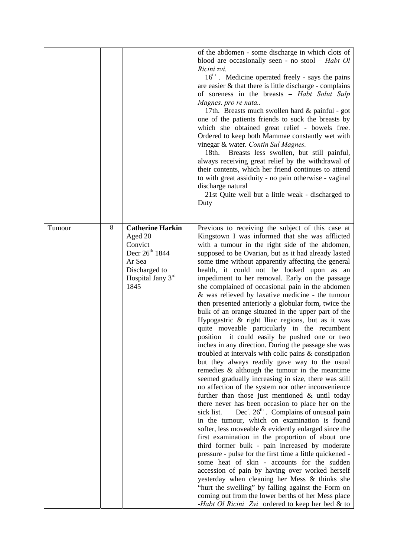|        |         |                                                                                                                                       | of the abdomen - some discharge in which clots of<br>blood are occasionally seen - no stool $-$ <i>Habt Ol</i><br>Ricini zvi.<br>16 <sup>th</sup> . Medicine operated freely - says the pains<br>are easier & that there is little discharge - complains<br>of soreness in the breasts - Habt Solut Sulp<br>Magnes. pro re nata<br>17th. Breasts much swollen hard & painful - got<br>one of the patients friends to suck the breasts by<br>which she obtained great relief - bowels free.<br>Ordered to keep both Mammae constantly wet with<br>vinegar & water. Contin Sul Magnes.<br>Breasts less swollen, but still painful,<br>18th.<br>always receiving great relief by the withdrawal of<br>their contents, which her friend continues to attend<br>to with great assiduity - no pain otherwise - vaginal<br>discharge natural<br>21st Quite well but a little weak - discharged to<br>Duty                                                                                                                                                                                                                                                                                                                                                                                                                                                                                                                                                                                                                                                                                                                                                                                                                                                                                                                                                                |
|--------|---------|---------------------------------------------------------------------------------------------------------------------------------------|-------------------------------------------------------------------------------------------------------------------------------------------------------------------------------------------------------------------------------------------------------------------------------------------------------------------------------------------------------------------------------------------------------------------------------------------------------------------------------------------------------------------------------------------------------------------------------------------------------------------------------------------------------------------------------------------------------------------------------------------------------------------------------------------------------------------------------------------------------------------------------------------------------------------------------------------------------------------------------------------------------------------------------------------------------------------------------------------------------------------------------------------------------------------------------------------------------------------------------------------------------------------------------------------------------------------------------------------------------------------------------------------------------------------------------------------------------------------------------------------------------------------------------------------------------------------------------------------------------------------------------------------------------------------------------------------------------------------------------------------------------------------------------------------------------------------------------------------------------------------|
| Tumour | $\,8\,$ | <b>Catherine Harkin</b><br>Aged 20<br>Convict<br>Decr 26 <sup>th</sup> 1844<br>Ar Sea<br>Discharged to<br>Hospital Jany $3rd$<br>1845 | Previous to receiving the subject of this case at<br>Kingstown I was informed that she was afflicted<br>with a tumour in the right side of the abdomen,<br>supposed to be Ovarian, but as it had already lasted<br>some time without apparently affecting the general<br>health, it could not be looked upon as an<br>impediment to her removal. Early on the passage<br>she complained of occasional pain in the abdomen<br>& was relieved by laxative medicine - the tumour<br>then presented anteriorly a globular form, twice the<br>bulk of an orange situated in the upper part of the<br>Hypogastric & right Iliac regions, but as it was<br>quite moveable particularly in the recumbent<br>position it could easily be pushed one or two<br>inches in any direction. During the passage she was<br>troubled at intervals with colic pains $\&$ constipation<br>but they always readily gave way to the usual<br>remedies $\&$ although the tumour in the meantime<br>seemed gradually increasing in size, there was still<br>no affection of the system nor other inconvenience<br>further than those just mentioned $\&$ until today<br>there never has been occasion to place her on the<br>$Dec^r$ . $26th$ . Complains of unusual pain<br>sick list.<br>in the tumour, which on examination is found<br>softer, less moveable $\&$ evidently enlarged since the<br>first examination in the proportion of about one<br>third former bulk - pain increased by moderate<br>pressure - pulse for the first time a little quickened -<br>some heat of skin - accounts for the sudden<br>accession of pain by having over worked herself<br>yesterday when cleaning her Mess & thinks she<br>"hurt the swelling" by falling against the Form on<br>coming out from the lower berths of her Mess place<br>-Habt Ol Ricini Zvi ordered to keep her bed & to |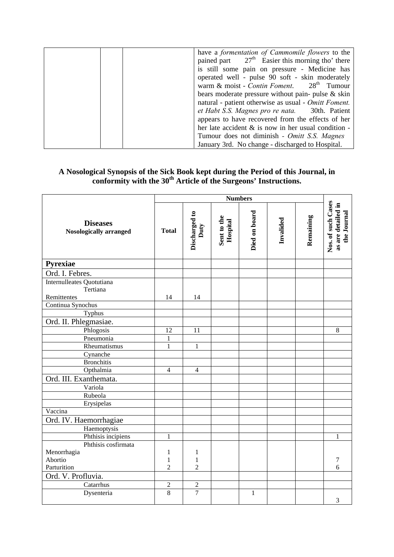| have a formentation of Cammomile flowers to the        |
|--------------------------------------------------------|
| pained part $27th$ Easier this morning tho' there      |
| is still some pain on pressure - Medicine has          |
| operated well - pulse 90 soft - skin moderately        |
| warm & moist - Contin Foment. $28th$ Tumour            |
| bears moderate pressure without pain- pulse $\&$ skin  |
| natural - patient otherwise as usual - Omitt Foment.   |
| et Habt S.S. Magnes pro re nata. 30th. Patient         |
| appears to have recovered from the effects of her      |
| her late accident $\&$ is now in her usual condition - |
| Tumour does not diminish - Omitt S.S. Magnes           |
| January 3rd. No change - discharged to Hospital.       |

## **A Nosological Synopsis of the Sick Book kept during the Period of this Journal, in conformity with the 30th Article of the Surgeons' Instructions.**

|                                                  | <b>Numbers</b> |                       |                         |               |           |           |                                                         |
|--------------------------------------------------|----------------|-----------------------|-------------------------|---------------|-----------|-----------|---------------------------------------------------------|
| <b>Diseases</b><br><b>Nosologically arranged</b> | <b>Total</b>   | Discharged to<br>Duty | Sent to the<br>Hospital | Died on board | Invalided | Remaining | Nos. of such Cases<br>as are detailed in<br>the Journal |
| Pyrexiae                                         |                |                       |                         |               |           |           |                                                         |
| Ord. I. Febres.                                  |                |                       |                         |               |           |           |                                                         |
| Internulleates Quotutiana                        |                |                       |                         |               |           |           |                                                         |
| Tertiana                                         |                |                       |                         |               |           |           |                                                         |
| Remittentes                                      | 14             | 14                    |                         |               |           |           |                                                         |
| Continua Synochus                                |                |                       |                         |               |           |           |                                                         |
| Typhus                                           |                |                       |                         |               |           |           |                                                         |
| Ord. II. Phlegmasiae.                            |                |                       |                         |               |           |           |                                                         |
| Phlogosis                                        | 12             | 11                    |                         |               |           |           | 8                                                       |
| Pneumonia                                        | $\mathbf{1}$   |                       |                         |               |           |           |                                                         |
| Rheumatismus                                     | $\overline{1}$ | $\mathbf{1}$          |                         |               |           |           |                                                         |
| Cynanche                                         |                |                       |                         |               |           |           |                                                         |
| <b>Bronchitis</b>                                |                |                       |                         |               |           |           |                                                         |
| Opthalmia                                        | $\overline{4}$ | $\overline{4}$        |                         |               |           |           |                                                         |
| Ord. III. Exanthemata.                           |                |                       |                         |               |           |           |                                                         |
| Variola                                          |                |                       |                         |               |           |           |                                                         |
| Rubeola                                          |                |                       |                         |               |           |           |                                                         |
| Erysipelas                                       |                |                       |                         |               |           |           |                                                         |
| Vaccina                                          |                |                       |                         |               |           |           |                                                         |
| Ord. IV. Haemorrhagiae                           |                |                       |                         |               |           |           |                                                         |
| Haemoptysis                                      |                |                       |                         |               |           |           |                                                         |
| Phthisis incipiens                               | $\mathbf{1}$   |                       |                         |               |           |           | 1                                                       |
| Phthisis cosfirmata                              |                |                       |                         |               |           |           |                                                         |
| Menorrhagia                                      | $\mathbf{1}$   | $\mathbf{1}$          |                         |               |           |           |                                                         |
| Abortio                                          | $\mathbf{1}$   | $\mathbf{1}$          |                         |               |           |           | 7                                                       |
| Parturition                                      | $\overline{2}$ | $\overline{2}$        |                         |               |           |           | 6                                                       |
| Ord. V. Profluvia.                               |                |                       |                         |               |           |           |                                                         |
| Catarrhus                                        | $\overline{c}$ | $\overline{2}$        |                         |               |           |           |                                                         |
| Dysenteria                                       | $\overline{8}$ | $\overline{7}$        |                         | $\mathbf{1}$  |           |           | 3                                                       |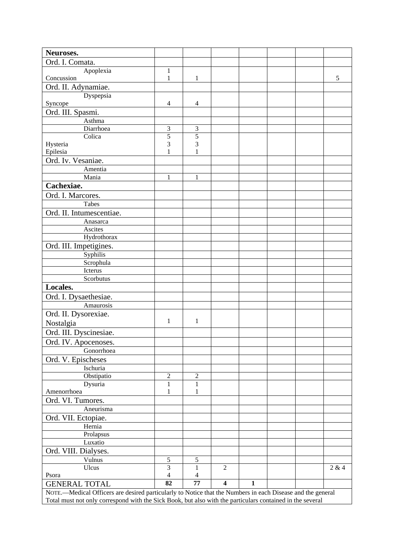| Neuroses.                                                                                                  |                |                |                         |              |  |  |       |
|------------------------------------------------------------------------------------------------------------|----------------|----------------|-------------------------|--------------|--|--|-------|
| Ord. I. Comata.                                                                                            |                |                |                         |              |  |  |       |
| Apoplexia                                                                                                  | $\mathbf{1}$   |                |                         |              |  |  |       |
| Concussion                                                                                                 | $\mathbf{1}$   | $\mathbf{1}$   |                         |              |  |  | 5     |
| Ord. II. Adynamiae.                                                                                        |                |                |                         |              |  |  |       |
| Dyspepsia                                                                                                  |                |                |                         |              |  |  |       |
| Syncope                                                                                                    | 4              | 4              |                         |              |  |  |       |
| Ord. III. Spasmi.                                                                                          |                |                |                         |              |  |  |       |
| Asthma                                                                                                     |                |                |                         |              |  |  |       |
| Diarrhoea                                                                                                  | 3              | 3              |                         |              |  |  |       |
| Colica                                                                                                     | 5              | 5              |                         |              |  |  |       |
| Hysteria                                                                                                   | 3              | 3              |                         |              |  |  |       |
| Epilesia                                                                                                   | 1              | 1              |                         |              |  |  |       |
| Ord. Iv. Vesaniae.                                                                                         |                |                |                         |              |  |  |       |
| Amentia                                                                                                    | $\mathbf{1}$   |                |                         |              |  |  |       |
| Mania                                                                                                      |                | $\mathbf{1}$   |                         |              |  |  |       |
| Cachexiae.                                                                                                 |                |                |                         |              |  |  |       |
| Ord. I. Marcores.                                                                                          |                |                |                         |              |  |  |       |
| Tabes                                                                                                      |                |                |                         |              |  |  |       |
| Ord. II. Intumescentiae.                                                                                   |                |                |                         |              |  |  |       |
| Anasarca                                                                                                   |                |                |                         |              |  |  |       |
| Ascites                                                                                                    |                |                |                         |              |  |  |       |
| Hydrothorax                                                                                                |                |                |                         |              |  |  |       |
| Ord. III. Impetigines.                                                                                     |                |                |                         |              |  |  |       |
| Syphilis                                                                                                   |                |                |                         |              |  |  |       |
| Scrophula                                                                                                  |                |                |                         |              |  |  |       |
| Icterus                                                                                                    |                |                |                         |              |  |  |       |
| Scorbutus                                                                                                  |                |                |                         |              |  |  |       |
| Locales.                                                                                                   |                |                |                         |              |  |  |       |
| Ord. I. Dysaethesiae.                                                                                      |                |                |                         |              |  |  |       |
| Amaurosis                                                                                                  |                |                |                         |              |  |  |       |
| Ord. II. Dysorexiae.                                                                                       |                |                |                         |              |  |  |       |
| Nostalgia                                                                                                  | 1              | 1              |                         |              |  |  |       |
| Ord. III. Dyscinesiae.                                                                                     |                |                |                         |              |  |  |       |
| Ord. IV. Apocenoses.                                                                                       |                |                |                         |              |  |  |       |
| Gonorrhoea                                                                                                 |                |                |                         |              |  |  |       |
| Ord. V. Epischeses                                                                                         |                |                |                         |              |  |  |       |
| Ischuria                                                                                                   |                |                |                         |              |  |  |       |
| Obstipatio                                                                                                 | $\overline{c}$ | 2              |                         |              |  |  |       |
| Dysuria                                                                                                    | $\mathbf{1}$   | $\mathbf{1}$   |                         |              |  |  |       |
| Amenorrhoea                                                                                                | 1              | 1              |                         |              |  |  |       |
| Ord. VI. Tumores.                                                                                          |                |                |                         |              |  |  |       |
| Aneurisma                                                                                                  |                |                |                         |              |  |  |       |
| Ord. VII. Ectopiae.                                                                                        |                |                |                         |              |  |  |       |
| Hernia                                                                                                     |                |                |                         |              |  |  |       |
| Prolapsus                                                                                                  |                |                |                         |              |  |  |       |
| Luxatio                                                                                                    |                |                |                         |              |  |  |       |
| Ord. VIII. Dialyses.                                                                                       |                |                |                         |              |  |  |       |
| Vulnus                                                                                                     | $\sqrt{5}$     | $\sqrt{5}$     |                         |              |  |  |       |
| Ulcus                                                                                                      | $\overline{3}$ | 1              | $\overline{2}$          |              |  |  | 2 & 4 |
| Psora                                                                                                      | $\overline{4}$ | $\overline{4}$ |                         |              |  |  |       |
| <b>GENERAL TOTAL</b>                                                                                       | 82             | 77             | $\overline{\mathbf{4}}$ | $\mathbf{1}$ |  |  |       |
| NOTE.-Medical Officers are desired particularly to Notice that the Numbers in each Disease and the general |                |                |                         |              |  |  |       |
| Total must not only correspond with the Sick Book, but also with the particulars contained in the several  |                |                |                         |              |  |  |       |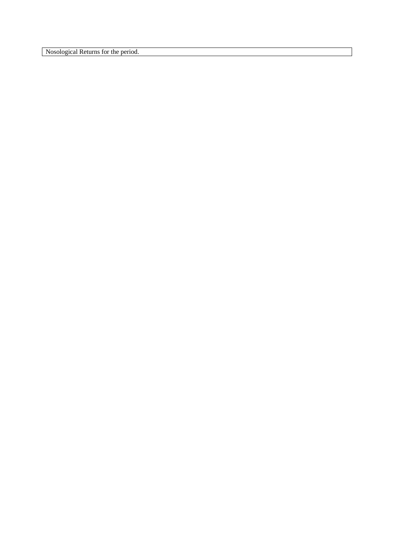Nosological Returns for the period.